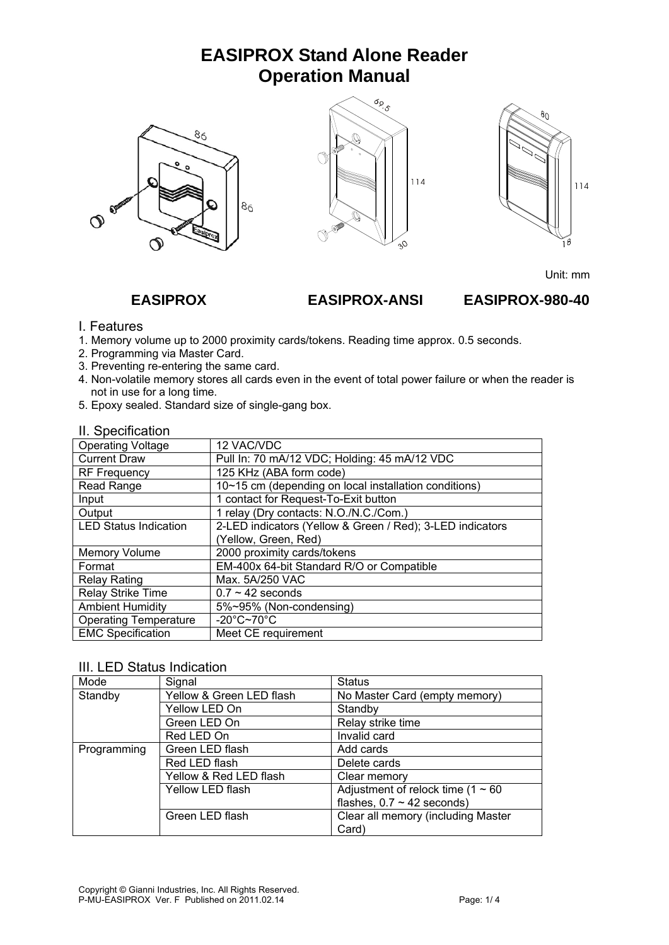# **EASIPROX Stand Alone Reader Operation Manual**







Unit: mm

 **EASIPROX EASIPROX-ANSI EASIPROX-980-40** 

#### I. Features

- 1. Memory volume up to 2000 proximity cards/tokens. Reading time approx. 0.5 seconds.
- 2. Programming via Master Card.
- 3. Preventing re-entering the same card.
- 4. Non-volatile memory stores all cards even in the event of total power failure or when the reader is not in use for a long time.
- 5. Epoxy sealed. Standard size of single-gang box.

| II. Specification |
|-------------------|
|                   |

| $\mathbf{u}$ . Opoo $\mathbf{u}$ oo $\mathbf{u}$ |                                                           |  |  |
|--------------------------------------------------|-----------------------------------------------------------|--|--|
| <b>Operating Voltage</b>                         | 12 VAC/VDC                                                |  |  |
| <b>Current Draw</b>                              | Pull In: 70 mA/12 VDC; Holding: 45 mA/12 VDC              |  |  |
| <b>RF Frequency</b>                              | 125 KHz (ABA form code)                                   |  |  |
| Read Range                                       | 10~15 cm (depending on local installation conditions)     |  |  |
| Input                                            | 1 contact for Request-To-Exit button                      |  |  |
| Output                                           | 1 relay (Dry contacts: N.O./N.C./Com.)                    |  |  |
| <b>LED Status Indication</b>                     | 2-LED indicators (Yellow & Green / Red); 3-LED indicators |  |  |
|                                                  | (Yellow, Green, Red)                                      |  |  |
| <b>Memory Volume</b>                             | 2000 proximity cards/tokens                               |  |  |
| Format                                           | EM-400x 64-bit Standard R/O or Compatible                 |  |  |
| <b>Relay Rating</b>                              | Max. 5A/250 VAC                                           |  |  |
| Relay Strike Time                                | $0.7 \sim 42$ seconds                                     |  |  |
| <b>Ambient Humidity</b>                          | 5%~95% (Non-condensing)                                   |  |  |
| <b>Operating Temperature</b>                     | $-20^{\circ}$ C~70 $^{\circ}$ C                           |  |  |
| <b>EMC Specification</b>                         | Meet CE requirement                                       |  |  |

### III. LED Status Indication

| Mode        | Signal                   | <b>Status</b>                          |  |
|-------------|--------------------------|----------------------------------------|--|
| Standby     | Yellow & Green LED flash | No Master Card (empty memory)          |  |
|             | Yellow LED On            | Standby                                |  |
|             | Green LED On             | Relay strike time                      |  |
|             | Red LED On               | Invalid card                           |  |
| Programming | Green LED flash          | Add cards                              |  |
|             | Red LED flash            | Delete cards                           |  |
|             | Yellow & Red LED flash   | Clear memory                           |  |
|             | Yellow LED flash         | Adjustment of relock time (1 $\sim$ 60 |  |
|             |                          | flashes, $0.7 \sim 42$ seconds)        |  |
|             | Green LED flash          | Clear all memory (including Master     |  |
|             |                          | Card)                                  |  |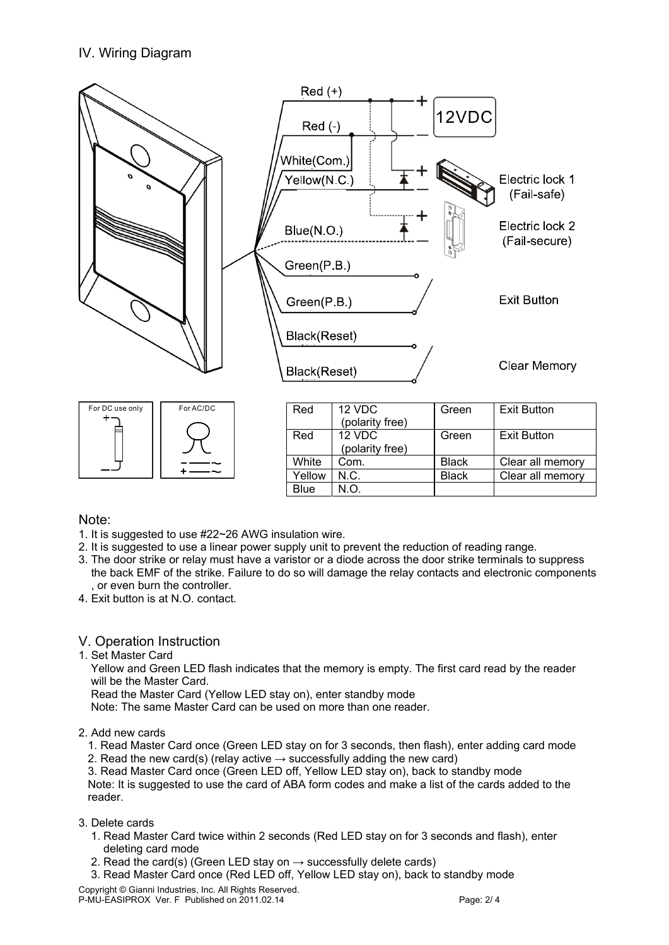## IV. Wiring Diagram



#### Note:

- 1. It is suggested to use #22~26 AWG insulation wire.
- 2. It is suggested to use a linear power supply unit to prevent the reduction of reading range.
- 3. The door strike or relay must have a varistor or a diode across the door strike terminals to suppress the back EMF of the strike. Failure to do so will damage the relay contacts and electronic components or even burn the controller.
- 4. Exit button is at N.O. contact.

#### V. Operation Instruction

1. Set Master Card

 Yellow and Green LED flash indicates that the memory is empty. The first card read by the reader will be the Master Card.

Read the Master Card (Yellow LED stay on), enter standby mode

Note: The same Master Card can be used on more than one reader.

#### 2. Add new cards

- 1. Read Master Card once (Green LED stay on for 3 seconds, then flash), enter adding card mode
- 2. Read the new card(s) (relay active  $\rightarrow$  successfully adding the new card)

 3. Read Master Card once (Green LED off, Yellow LED stay on), back to standby mode Note: It is suggested to use the card of ABA form codes and make a list of the cards added to the reader.

- 3. Delete cards
	- 1. Read Master Card twice within 2 seconds (Red LED stay on for 3 seconds and flash), enter deleting card mode
	- 2. Read the card(s) (Green LED stay on  $\rightarrow$  successfully delete cards)
	- 3. Read Master Card once (Red LED off, Yellow LED stay on), back to standby mode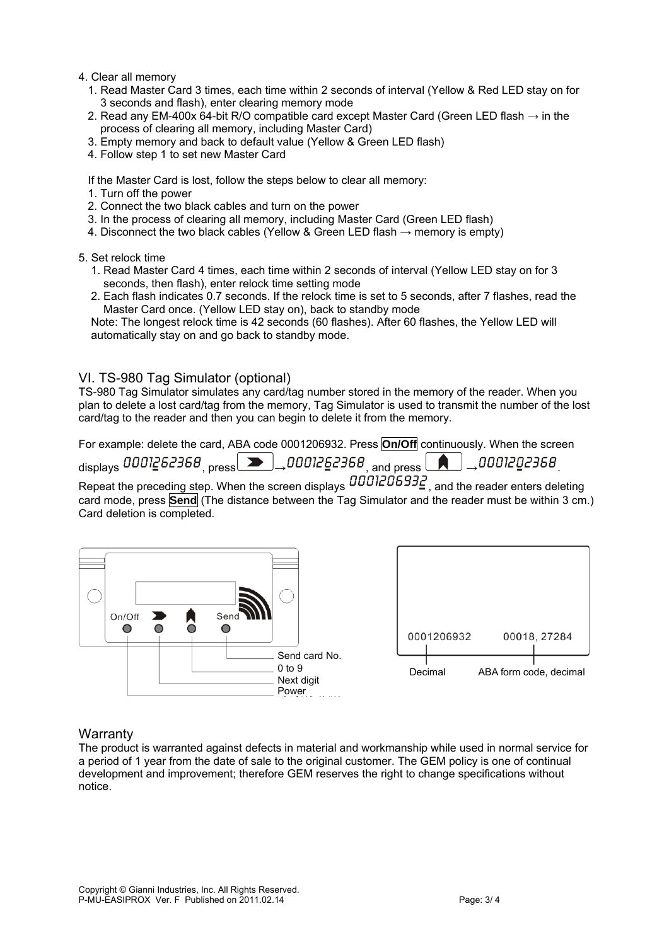- 4. Clear all memory
	- 1. Read Master Card 3 times, each time within 2 seconds of interval (Yellow & Red LED stay on for 3 seconds and flash), enter clearing memory mode
	- 2. Read any EM-400x 64-bit R/O compatible card except Master Card (Green LED flash  $\rightarrow$  in the process of clearing all memory, including Master Card)
	- 3. Empty memory and back to default value (Yellow & Green LED flash)
	- 4. Follow step 1 to set new Master Card

If the Master Card is lost, follow the steps below to clear all memory:

- 1. Turn off the power
- 2. Connect the two black cables and turn on the power
- 3. In the process of clearing all memory, including Master Card (Green LED flash)
- 4. Disconnect the two black cables (Yellow & Green LED flash  $\rightarrow$  memory is empty)
- 5. Set relock time
	- 1. Read Master Card 4 times, each time within 2 seconds of interval (Yellow LED stay on for 3 seconds, then flash), enter relock time setting mode
	- 2. Each flash indicates 0.7 seconds. If the relock time is set to 5 seconds, after 7 flashes, read the Master Card once. (Yellow LED stay on), back to standby mode

 Note: The longest relock time is 42 seconds (60 flashes). After 60 flashes, the Yellow LED will automatically stay on and go back to standby mode.

#### VI. TS-980 Tag Simulator (optional)

TS-980 Tag Simulator simulates any card/tag number stored in the memory of the reader. When you plan to delete a lost card/tag from the memory, Tag Simulator is used to transmit the number of the lost card/tag to the reader and then you can begin to delete it from the memory.

For example: delete the card, ABA code 0001206932. Press **On/Off** continuously. When the screen

 $_{\rm displays}$  0001262368,  $_{\rm press}$   $\blacksquare$ , 0001262368, and press  $\blacksquare$ , 0001202368.

Repeat the preceding step. When the screen displays  $\overline{B001206932}$ , and the reader enters deleting card mode, press **Send** (The distance between the Tag Simulator and the reader must be within 3 cm.) Card deletion is completed.





#### **Warranty**

The product is warranted against defects in material and workmanship while used in normal service for a period of 1 year from the date of sale to the original customer. The GEM policy is one of continual development and improvement; therefore GEM reserves the right to change specifications without notice.